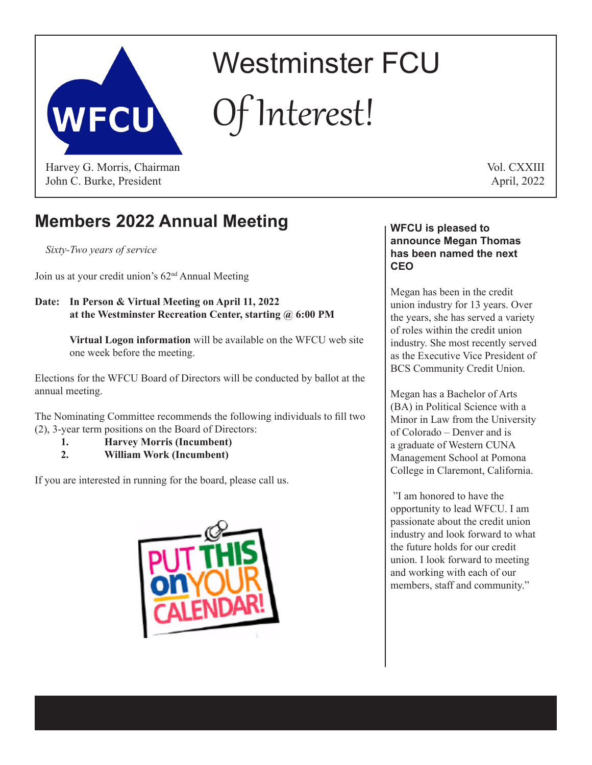

# Westminster FCU Of Interest!

John C. Burke, President

Vol. CXXIII April, 2022

# **Members 2022 Annual Meeting**

*Sixty-Two years of service*

Join us at your credit union's 62nd Annual Meeting

## **Date: In Person & Virtual Meeting on April 11, 2022 at the Westminster Recreation Center, starting @ 6:00 PM**

**Virtual Logon information** will be available on the WFCU web site one week before the meeting.

Elections for the WFCU Board of Directors will be conducted by ballot at the annual meeting.

The Nominating Committee recommends the following individuals to fill two (2), 3-year term positions on the Board of Directors:

- **1. Harvey Morris (Incumbent)**
- **2. William Work (Incumbent)**

If you are interested in running for the board, please call us.



#### **WFCU is pleased to announce Megan Thomas has been named the next CEO**

Megan has been in the credit union industry for 13 years. Over the years, she has served a variety of roles within the credit union industry. She most recently served as the Executive Vice President of BCS Community Credit Union.

Megan has a Bachelor of Arts (BA) in Political Science with a Minor in Law from the University of Colorado – Denver and is a graduate of Western CUNA Management School at Pomona College in Claremont, California.

"I am honored to have the opportunity to lead WFCU. I am passionate about the credit union industry and look forward to what the future holds for our credit union. I look forward to meeting and working with each of our members, staff and community."